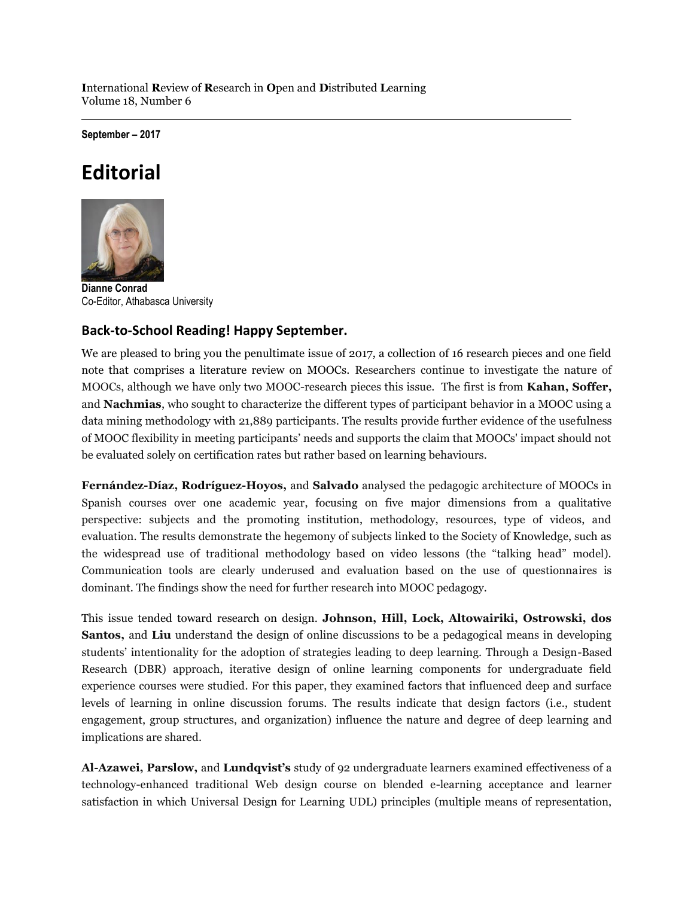**I**nternational **R**eview of **R**esearch in **O**pen and **D**istributed **L**earning Volume 18, Number 6

**September – 2017**

## **Editorial**



**Dianne Conrad** Co-Editor, Athabasca University

## **Back-to-School Reading! Happy September.**

We are pleased to bring you the penultimate issue of 2017, a collection of 16 research pieces and one field note that comprises a literature review on MOOCs. Researchers continue to investigate the nature of MOOCs, although we have only two MOOC-research pieces this issue. The first is from **Kahan, Soffer,**  and **Nachmias**, who sought to characterize the different types of participant behavior in a MOOC using a data mining methodology with 21,889 participants. The results provide further evidence of the usefulness of MOOC flexibility in meeting participants' needs and supports the claim that MOOCs' impact should not be evaluated solely on certification rates but rather based on learning behaviours.

**Fernández-Díaz, Rodríguez-Hoyos,** and **Salvado** analysed the pedagogic architecture of MOOCs in Spanish courses over one academic year, focusing on five major dimensions from a qualitative perspective: subjects and the promoting institution, methodology, resources, type of videos, and evaluation. The results demonstrate the hegemony of subjects linked to the Society of Knowledge, such as the widespread use of traditional methodology based on video lessons (the "talking head" model). Communication tools are clearly underused and evaluation based on the use of questionnaires is dominant. The findings show the need for further research into MOOC pedagogy.

This issue tended toward research on design. **Johnson, Hill, Lock, Altowairiki, Ostrowski, dos Santos,** and **Liu** understand the design of online discussions to be a pedagogical means in developing students' intentionality for the adoption of strategies leading to deep learning. Through a Design-Based Research (DBR) approach, iterative design of online learning components for undergraduate field experience courses were studied. For this paper, they examined factors that influenced deep and surface levels of learning in online discussion forums. The results indicate that design factors (i.e., student engagement, group structures, and organization) influence the nature and degree of deep learning and implications are shared.

**Al-Azawei, Parslow,** and **Lundqvist's** study of 92 undergraduate learners examined effectiveness of a technology-enhanced traditional Web design course on blended e-learning acceptance and learner satisfaction in which Universal Design for Learning UDL) principles (multiple means of representation,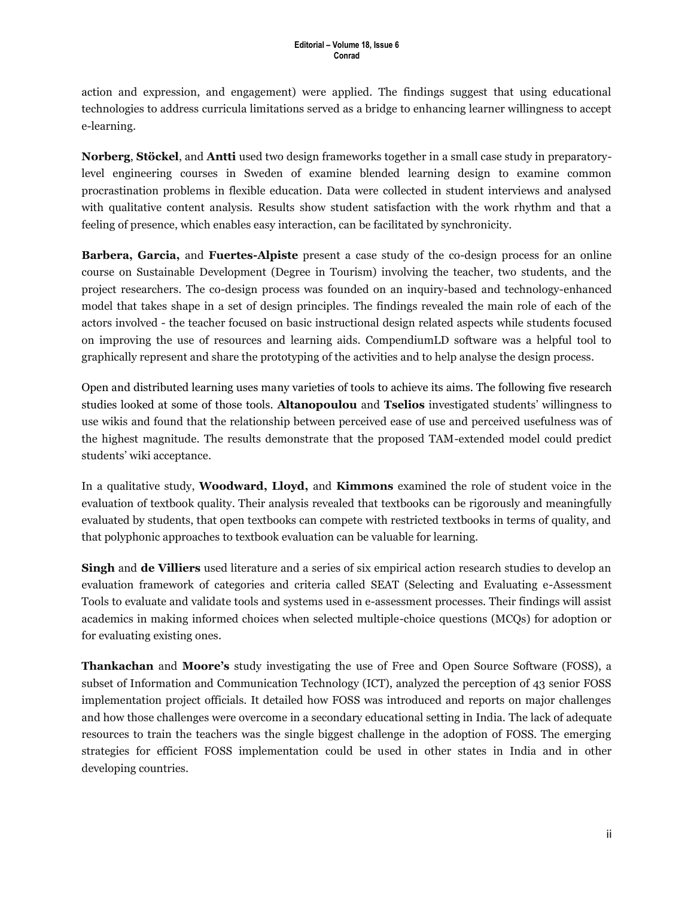action and expression, and engagement) were applied. The findings suggest that using educational technologies to address curricula limitations served as a bridge to enhancing learner willingness to accept e-learning.

**Norberg**, **Stöckel**, and **Antti** used two design frameworks together in a small case study in preparatorylevel engineering courses in Sweden of examine blended learning design to examine common procrastination problems in flexible education. Data were collected in student interviews and analysed with qualitative content analysis. Results show student satisfaction with the work rhythm and that a feeling of presence, which enables easy interaction, can be facilitated by synchronicity.

**Barbera, Garcia,** and **Fuertes-Alpiste** present a case study of the co-design process for an online course on Sustainable Development (Degree in Tourism) involving the teacher, two students, and the project researchers. The co-design process was founded on an inquiry-based and technology-enhanced model that takes shape in a set of design principles. The findings revealed the main role of each of the actors involved - the teacher focused on basic instructional design related aspects while students focused on improving the use of resources and learning aids. CompendiumLD software was a helpful tool to graphically represent and share the prototyping of the activities and to help analyse the design process.

Open and distributed learning uses many varieties of tools to achieve its aims. The following five research studies looked at some of those tools. **Altanopoulou** and **Tselios** investigated students' willingness to use wikis and found that the relationship between perceived ease of use and perceived usefulness was of the highest magnitude. The results demonstrate that the proposed TAM-extended model could predict students' wiki acceptance.

In a qualitative study, **Woodward, Lloyd,** and **Kimmons** examined the role of student voice in the evaluation of textbook quality. Their analysis revealed that textbooks can be rigorously and meaningfully evaluated by students, that open textbooks can compete with restricted textbooks in terms of quality, and that polyphonic approaches to textbook evaluation can be valuable for learning.

**Singh** and **de Villiers** used literature and a series of six empirical action research studies to develop an evaluation framework of categories and criteria called SEAT (Selecting and Evaluating e-Assessment Tools to evaluate and validate tools and systems used in e-assessment processes. Their findings will assist academics in making informed choices when selected multiple-choice questions (MCQs) for adoption or for evaluating existing ones.

**Thankachan** and **Moore's** study investigating the use of Free and Open Source Software (FOSS), a subset of Information and Communication Technology (ICT), analyzed the perception of 43 senior FOSS implementation project officials. It detailed how FOSS was introduced and reports on major challenges and how those challenges were overcome in a secondary educational setting in India. The lack of adequate resources to train the teachers was the single biggest challenge in the adoption of FOSS. The emerging strategies for efficient FOSS implementation could be used in other states in India and in other developing countries.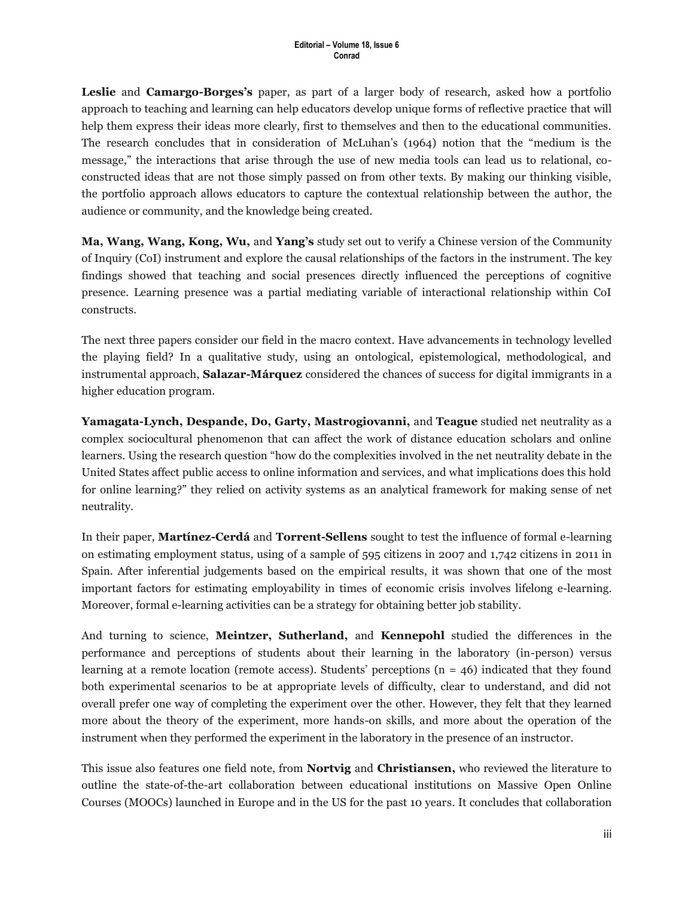**Leslie** and **Camargo-Borges's** paper, as part of a larger body of research, asked how a portfolio approach to teaching and learning can help educators develop unique forms of reflective practice that will help them express their ideas more clearly, first to themselves and then to the educational communities. The research concludes that in consideration of McLuhan's (1964) notion that the "medium is the message," the interactions that arise through the use of new media tools can lead us to relational, coconstructed ideas that are not those simply passed on from other texts. By making our thinking visible, the portfolio approach allows educators to capture the contextual relationship between the author, the audience or community, and the knowledge being created.

**Ma, Wang, Wang, Kong, Wu,** and **Yang's** study set out to verify a Chinese version of the Community of Inquiry (CoI) instrument and explore the causal relationships of the factors in the instrument. The key findings showed that teaching and social presences directly influenced the perceptions of cognitive presence. Learning presence was a partial mediating variable of interactional relationship within CoI constructs.

The next three papers consider our field in the macro context. Have advancements in technology levelled the playing field? In a qualitative study, using an ontological, epistemological, methodological, and instrumental approach, **Salazar-Márquez** considered the chances of success for digital immigrants in a higher education program.

**Yamagata-Lynch, Despande, Do, Garty, Mastrogiovanni,** and **Teague** studied net neutrality as a complex sociocultural phenomenon that can affect the work of distance education scholars and online learners. Using the research question "how do the complexities involved in the net neutrality debate in the United States affect public access to online information and services, and what implications does this hold for online learning?" they relied on activity systems as an analytical framework for making sense of net neutrality.

In their paper, **Martínez-Cerdá** and **Torrent-Sellens** sought to test the influence of formal e-learning on estimating employment status, using of a sample of 595 citizens in 2007 and 1,742 citizens in 2011 in Spain. After inferential judgements based on the empirical results, it was shown that one of the most important factors for estimating employability in times of economic crisis involves lifelong e-learning. Moreover, formal e-learning activities can be a strategy for obtaining better job stability.

And turning to science, **Meintzer, Sutherland,** and **Kennepohl** studied the differences in the performance and perceptions of students about their learning in the laboratory (in-person) versus learning at a remote location (remote access). Students' perceptions (n = 46) indicated that they found both experimental scenarios to be at appropriate levels of difficulty, clear to understand, and did not overall prefer one way of completing the experiment over the other. However, they felt that they learned more about the theory of the experiment, more hands-on skills, and more about the operation of the instrument when they performed the experiment in the laboratory in the presence of an instructor.

This issue also features one field note, from **Nortvig** and **Christiansen,** who reviewed the literature to outline the state-of-the-art collaboration between educational institutions on Massive Open Online Courses (MOOCs) launched in Europe and in the US for the past 10 years. It concludes that collaboration